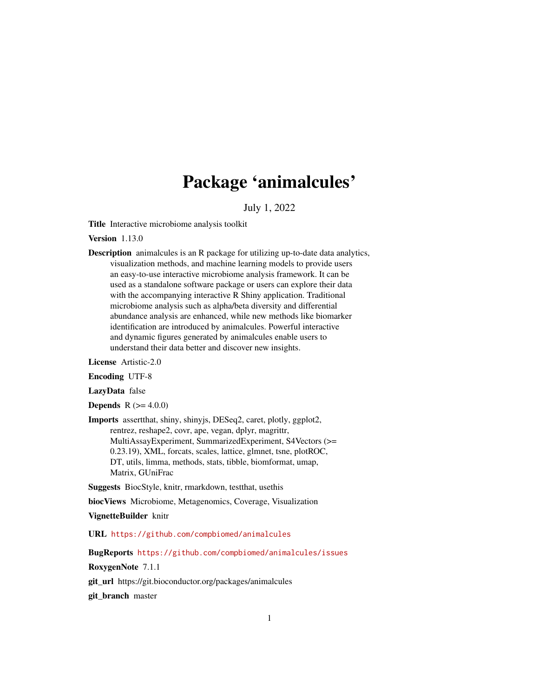# Package 'animalcules'

July 1, 2022

Title Interactive microbiome analysis toolkit

Version 1.13.0

Description animalcules is an R package for utilizing up-to-date data analytics, visualization methods, and machine learning models to provide users an easy-to-use interactive microbiome analysis framework. It can be used as a standalone software package or users can explore their data with the accompanying interactive R Shiny application. Traditional microbiome analysis such as alpha/beta diversity and differential abundance analysis are enhanced, while new methods like biomarker identification are introduced by animalcules. Powerful interactive and dynamic figures generated by animalcules enable users to understand their data better and discover new insights.

License Artistic-2.0

Encoding UTF-8

LazyData false

**Depends**  $R$  ( $>= 4.0.0$ )

Imports assertthat, shiny, shinyjs, DESeq2, caret, plotly, ggplot2, rentrez, reshape2, covr, ape, vegan, dplyr, magrittr, MultiAssayExperiment, SummarizedExperiment, S4Vectors (>= 0.23.19), XML, forcats, scales, lattice, glmnet, tsne, plotROC, DT, utils, limma, methods, stats, tibble, biomformat, umap, Matrix, GUniFrac

Suggests BiocStyle, knitr, rmarkdown, testthat, usethis

biocViews Microbiome, Metagenomics, Coverage, Visualization

VignetteBuilder knitr

URL <https://github.com/compbiomed/animalcules>

BugReports <https://github.com/compbiomed/animalcules/issues>

RoxygenNote 7.1.1

git\_url https://git.bioconductor.org/packages/animalcules

git\_branch master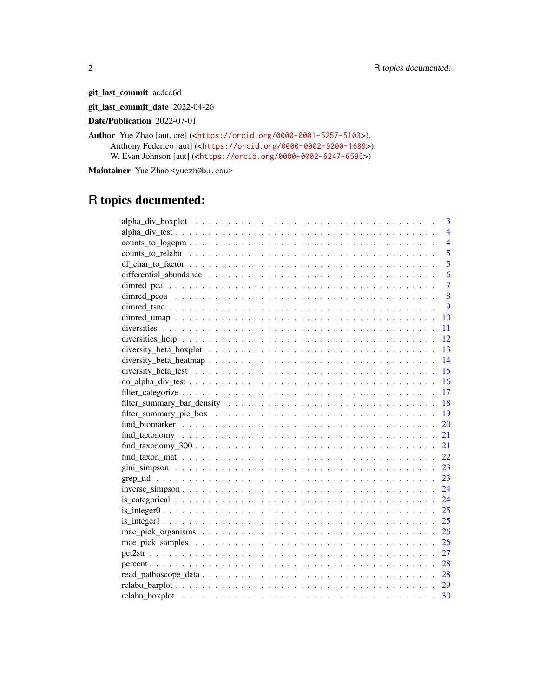git\_last\_commit acdcc6d

git\_last\_commit\_date 2022-04-26

Date/Publication 2022-07-01

Author Yue Zhao [aut, cre] (<<https://orcid.org/0000-0001-5257-5103>>), Anthony Federico [aut] (<<https://orcid.org/0000-0002-9200-1689>>), W. Evan Johnson [aut] (<<https://orcid.org/0000-0002-6247-6595>>)

Maintainer Yue Zhao <yuezh@bu.edu>

# R topics documented:

| 3                          |
|----------------------------|
| $\overline{4}$             |
| $\overline{4}$             |
| 5                          |
| $\overline{5}$             |
| 6                          |
| $\overline{7}$             |
| 8                          |
| 9                          |
| 10                         |
| 11                         |
| 12                         |
| 13                         |
| 14                         |
| 15                         |
| $-16$                      |
|                            |
|                            |
| - 19                       |
| 20                         |
| 21                         |
| $find\_taxonomy_300$<br>21 |
| 22                         |
| 23                         |
| 23                         |
| 24                         |
| 24                         |
| 25                         |
|                            |
|                            |
|                            |
| 27                         |
| 28                         |
|                            |
|                            |
|                            |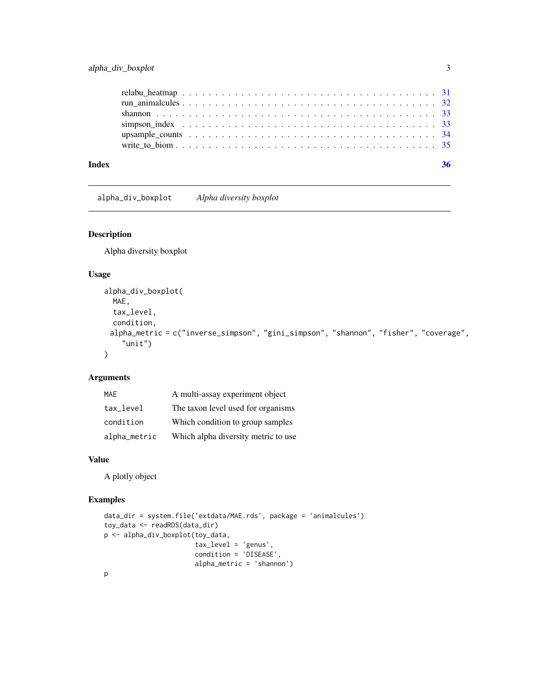#### <span id="page-2-0"></span>alpha\_div\_boxplot 3

| Index | 36 |
|-------|----|
|       |    |
|       |    |
|       |    |
|       |    |
|       |    |
|       |    |

alpha\_div\_boxplot *Alpha diversity boxplot*

#### Description

Alpha diversity boxplot

#### Usage

```
alpha_div_boxplot(
 MAE,
 tax_level,
 condition,
 alpha_metric = c("inverse_simpson", "gini_simpson", "shannon", "fisher", "coverage",
    "unit")
\mathcal{L}
```
#### Arguments

| MAF          | A multi-assay experiment object     |
|--------------|-------------------------------------|
| tax_level    | The taxon level used for organisms  |
| condition    | Which condition to group samples    |
| alpha_metric | Which alpha diversity metric to use |

#### Value

A plotly object

#### Examples

```
data_dir = system.file('extdata/MAE.rds', package = 'animalcules')
toy_data <- readRDS(data_dir)
p <- alpha_div_boxplot(toy_data,
                       tax_level = 'genus',
                       condition = 'DISEASE',
                       alpha_metric = 'shannon')
```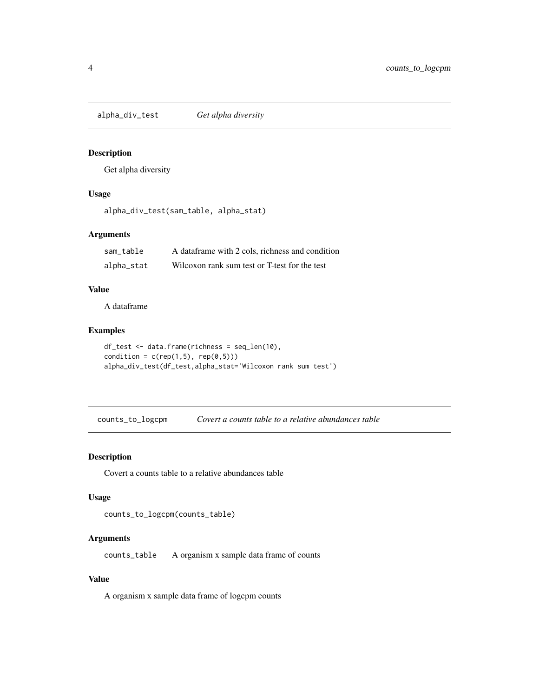<span id="page-3-0"></span>alpha\_div\_test *Get alpha diversity*

#### Description

Get alpha diversity

#### Usage

alpha\_div\_test(sam\_table, alpha\_stat)

#### Arguments

| sam table  | A dataframe with 2 cols, richness and condition |
|------------|-------------------------------------------------|
| alpha_stat | Wilcoxon rank sum test or T-test for the test   |

#### Value

A dataframe

#### Examples

```
df_test <- data.frame(richness = seq_len(10),
condition = c(rep(1,5), rep(0,5)))alpha_div_test(df_test,alpha_stat='Wilcoxon rank sum test')
```
counts\_to\_logcpm *Covert a counts table to a relative abundances table*

#### Description

Covert a counts table to a relative abundances table

#### Usage

```
counts_to_logcpm(counts_table)
```
#### Arguments

counts\_table A organism x sample data frame of counts

#### Value

A organism x sample data frame of logcpm counts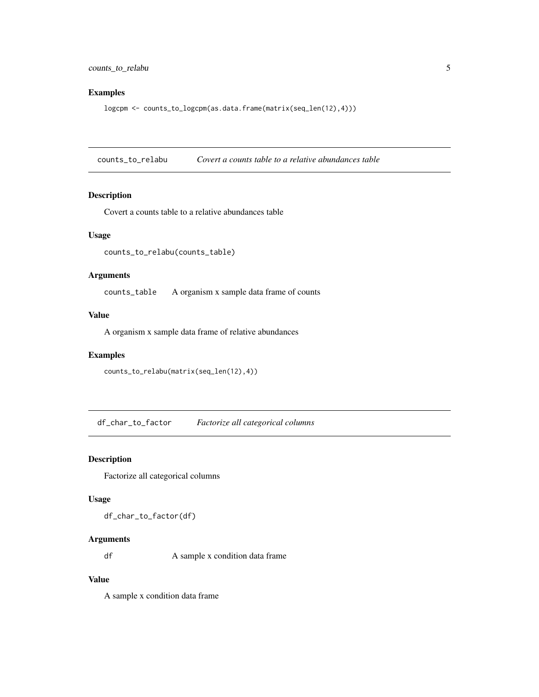#### <span id="page-4-0"></span>Examples

logcpm <- counts\_to\_logcpm(as.data.frame(matrix(seq\_len(12),4)))

counts\_to\_relabu *Covert a counts table to a relative abundances table*

#### Description

Covert a counts table to a relative abundances table

#### Usage

counts\_to\_relabu(counts\_table)

#### Arguments

counts\_table A organism x sample data frame of counts

#### Value

A organism x sample data frame of relative abundances

#### Examples

```
counts_to_relabu(matrix(seq_len(12),4))
```
df\_char\_to\_factor *Factorize all categorical columns*

#### Description

Factorize all categorical columns

#### Usage

df\_char\_to\_factor(df)

#### Arguments

df A sample x condition data frame

#### Value

A sample x condition data frame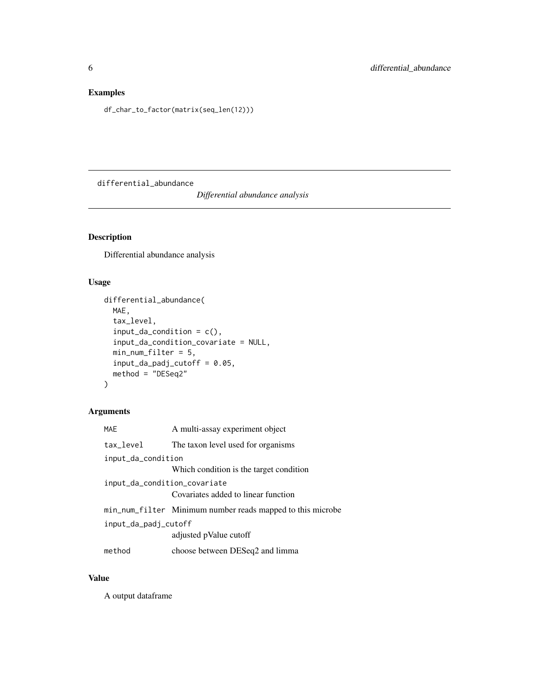#### <span id="page-5-0"></span>Examples

df\_char\_to\_factor(matrix(seq\_len(12)))

differential\_abundance

*Differential abundance analysis*

#### Description

Differential abundance analysis

#### Usage

```
differential_abundance(
 MAE,
 tax_level,
  input_da_condition = c(),
  input_da_condition_covariate = NULL,
 min_num_filter = 5,
  input_da_padj_cutoff = 0.05,
 method = "DESeq2")
```
#### Arguments

| <b>MAE</b>                   | A multi-assay experiment object                            |  |
|------------------------------|------------------------------------------------------------|--|
| tax_level                    | The taxon level used for organisms                         |  |
| input_da_condition           |                                                            |  |
|                              | Which condition is the target condition                    |  |
| input_da_condition_covariate |                                                            |  |
|                              | Covariates added to linear function                        |  |
|                              | min_num_filter Minimum number reads mapped to this microbe |  |
| input_da_padj_cutoff         |                                                            |  |
|                              | adjusted pValue cutoff                                     |  |
| method                       | choose between DESeq2 and limma                            |  |

#### Value

A output dataframe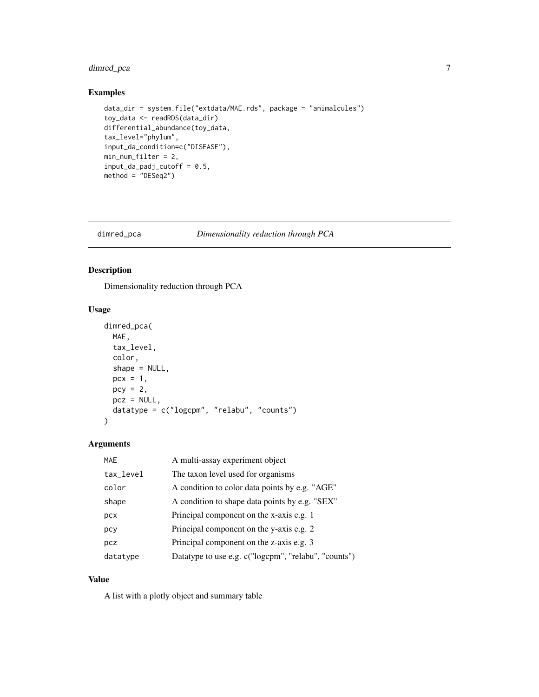#### <span id="page-6-0"></span>dimred\_pca 7

#### Examples

```
data_dir = system.file("extdata/MAE.rds", package = "animalcules")
toy_data <- readRDS(data_dir)
differential_abundance(toy_data,
tax_level="phylum",
input_da_condition=c("DISEASE"),
min_num_filter = 2,
input\_da\_padj\_cutoff = 0.5,
method = "DESeq2")
```
#### dimred\_pca *Dimensionality reduction through PCA*

#### Description

Dimensionality reduction through PCA

#### Usage

```
dimred_pca(
 MAE,
  tax_level,
  color,
  shape = NULL,
 pcx = 1,
 pcy = 2,
 pcz = NULL,datatype = c("logcpm", "relabu", "counts")
\mathcal{L}
```
#### Arguments

| <b>MAE</b> | A multi-assay experiment object                      |
|------------|------------------------------------------------------|
| tax_level  | The taxon level used for organisms                   |
| color      | A condition to color data points by e.g. "AGE"       |
| shape      | A condition to shape data points by e.g. "SEX"       |
| pcx        | Principal component on the x-axis e.g. 1             |
| pcy        | Principal component on the y-axis e.g. 2             |
| pcz        | Principal component on the z-axis e.g. 3             |
| datatype   | Datatype to use e.g. c("logcpm", "relabu", "counts") |

#### Value

A list with a plotly object and summary table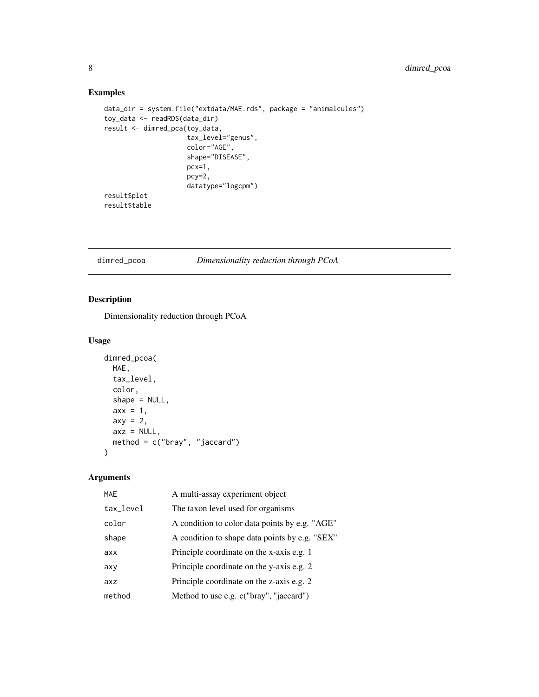#### Examples

```
data_dir = system.file("extdata/MAE.rds", package = "animalcules")
toy_data <- readRDS(data_dir)
result <- dimred_pca(toy_data,
                     tax_level="genus",
                     color="AGE",
                     shape="DISEASE",
                     pcx=1,
                     pcy=2,
                     datatype="logcpm")
result$plot
result$table
```
dimred\_pcoa *Dimensionality reduction through PCoA*

#### Description

Dimensionality reduction through PCoA

#### Usage

```
dimred_pcoa(
 MAE,
  tax_level,
 color,
 shape = NULL,
 axx = 1,
 axy = 2,axz = NULL,method = c("bray", "jaccard")
)
```
#### Arguments

| <b>MAE</b> | A multi-assay experiment object                |
|------------|------------------------------------------------|
| tax_level  | The taxon level used for organisms             |
| color      | A condition to color data points by e.g. "AGE" |
| shape      | A condition to shape data points by e.g. "SEX" |
| axx        | Principle coordinate on the x-axis e.g. 1      |
| axy        | Principle coordinate on the y-axis e.g. 2      |
| axz        | Principle coordinate on the z-axis e.g. 2      |
| method     | Method to use e.g. c("bray", "jaccard")        |

<span id="page-7-0"></span>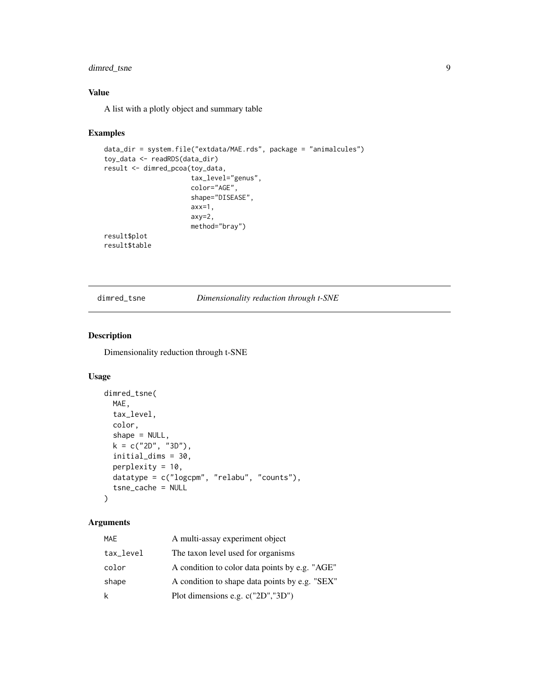#### <span id="page-8-0"></span>dimred\_tsne 9

#### Value

A list with a plotly object and summary table

#### Examples

```
data_dir = system.file("extdata/MAE.rds", package = "animalcules")
toy_data <- readRDS(data_dir)
result <- dimred_pcoa(toy_data,
                      tax_level="genus",
                      color="AGE",
                      shape="DISEASE",
                      axx=1,
                      axy=2,
                      method="bray")
result$plot
result$table
```
#### dimred\_tsne *Dimensionality reduction through t-SNE*

#### Description

Dimensionality reduction through t-SNE

#### Usage

```
dimred_tsne(
 MAE,
  tax_level,
  color,
  shape = NULL,
 k = c("2D", "3D"),
  initial_dims = 30,
 perplexity = 10,
  datatype = c("logcpm", "relabu", "counts"),
  tsne_cache = NULL
)
```
#### Arguments

| MAE       | A multi-assay experiment object                |
|-----------|------------------------------------------------|
| tax_level | The taxon level used for organisms             |
| color     | A condition to color data points by e.g. "AGE" |
| shape     | A condition to shape data points by e.g. "SEX" |
| k         | Plot dimensions e.g. c("2D","3D")              |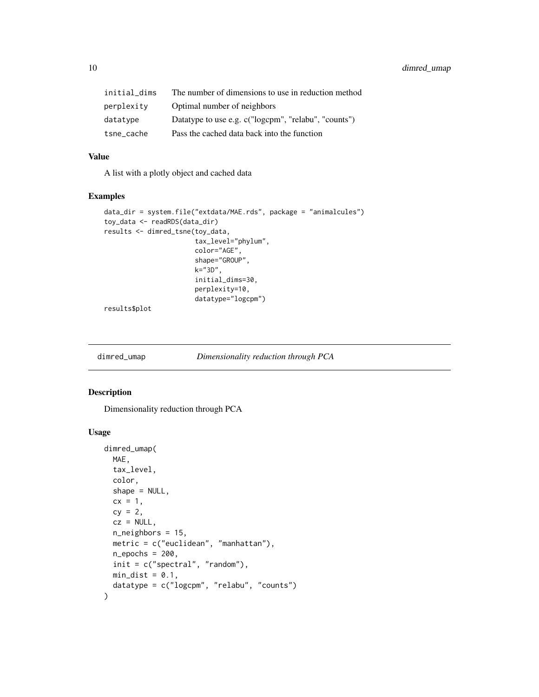<span id="page-9-0"></span>10 dimred\_umap

| initial dims | The number of dimensions to use in reduction method  |
|--------------|------------------------------------------------------|
| perplexity   | Optimal number of neighbors                          |
| datatype     | Datatype to use e.g. c("logcpm", "relabu", "counts") |
| tsne_cache   | Pass the cached data back into the function          |

#### Value

A list with a plotly object and cached data

#### Examples

```
data_dir = system.file("extdata/MAE.rds", package = "animalcules")
toy_data <- readRDS(data_dir)
results <- dimred_tsne(toy_data,
                       tax_level="phylum",
                       color="AGE",
                       shape="GROUP",
                       k="3D",
                       initial_dims=30,
                       perplexity=10,
                       datatype="logcpm")
```
results\$plot

dimred\_umap *Dimensionality reduction through PCA*

#### Description

Dimensionality reduction through PCA

#### Usage

```
dimred_umap(
 MAE,
  tax_level,
 color,
 shape = NULL,cx = 1,
 cy = 2,cz = NULL,n_neighbors = 15,
 metric = c("euclidean", "manhattan"),
 n_epochs = 200,
 init = c("spectral", "random"),
 min\_dist = 0.1,
  datatype = c("logcpm", "relabu", "counts")
)
```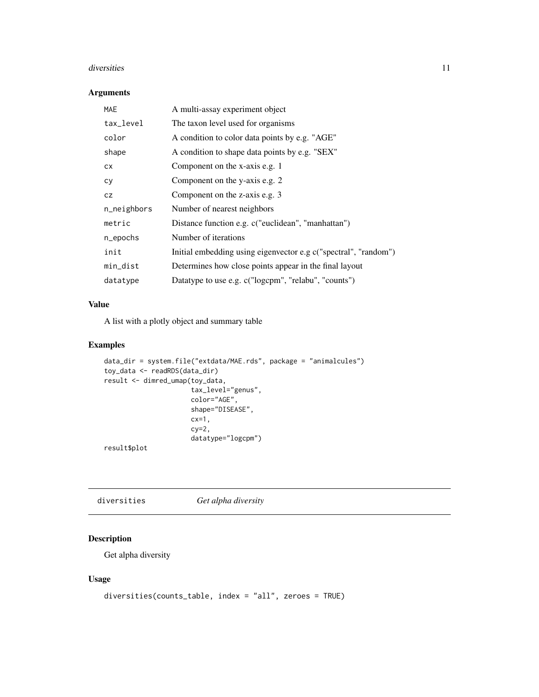#### <span id="page-10-0"></span>diversities and the contract of the contract of the contract of the contract of the contract of the contract of the contract of the contract of the contract of the contract of the contract of the contract of the contract o

#### Arguments

| <b>MAE</b>  | A multi-assay experiment object                                 |
|-------------|-----------------------------------------------------------------|
| tax_level   | The taxon level used for organisms                              |
| color       | A condition to color data points by e.g. "AGE"                  |
| shape       | A condition to shape data points by e.g. "SEX"                  |
| СX          | Component on the x-axis e.g. 1                                  |
| сy          | Component on the y-axis e.g. 2                                  |
| CZ          | Component on the z-axis e.g. 3                                  |
| n_neighbors | Number of nearest neighbors                                     |
| metric      | Distance function e.g. c("euclidean", "manhattan")              |
| n_epochs    | Number of iterations                                            |
| init        | Initial embedding using eigenvector e.g c("spectral", "random") |
| min_dist    | Determines how close points appear in the final layout          |
| datatype    | Datatype to use e.g. c("logcpm", "relabu", "counts")            |

#### Value

A list with a plotly object and summary table

#### Examples

```
data_dir = system.file("extdata/MAE.rds", package = "animalcules")
toy_data <- readRDS(data_dir)
result <- dimred_umap(toy_data,
                      tax_level="genus",
                      color="AGE",
                      shape="DISEASE",
                      cx=1,
                      cy=2,
                      datatype="logcpm")
```
result\$plot

diversities *Get alpha diversity*

#### Description

Get alpha diversity

#### Usage

```
diversities(counts_table, index = "all", zeroes = TRUE)
```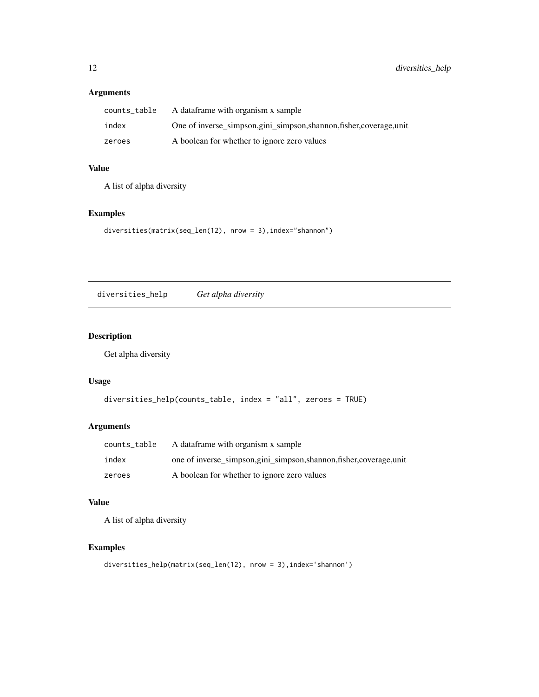#### <span id="page-11-0"></span>Arguments

| counts_table | A dataframe with organism x sample                               |
|--------------|------------------------------------------------------------------|
| index        | One of inverse_simpson,gini_simpson,shannon,fisher,coverage,unit |
| zeroes       | A boolean for whether to ignore zero values                      |

#### Value

A list of alpha diversity

#### Examples

```
diversities(matrix(seq_len(12), nrow = 3),index="shannon")
```
diversities\_help *Get alpha diversity*

#### Description

Get alpha diversity

#### Usage

```
diversities_help(counts_table, index = "all", zeroes = TRUE)
```
#### Arguments

| counts_table | A dataframe with organism x sample                               |
|--------------|------------------------------------------------------------------|
| index        | one of inverse_simpson,gini_simpson,shannon,fisher,coverage,unit |
| zeroes       | A boolean for whether to ignore zero values                      |

#### Value

A list of alpha diversity

#### Examples

diversities\_help(matrix(seq\_len(12), nrow = 3),index='shannon')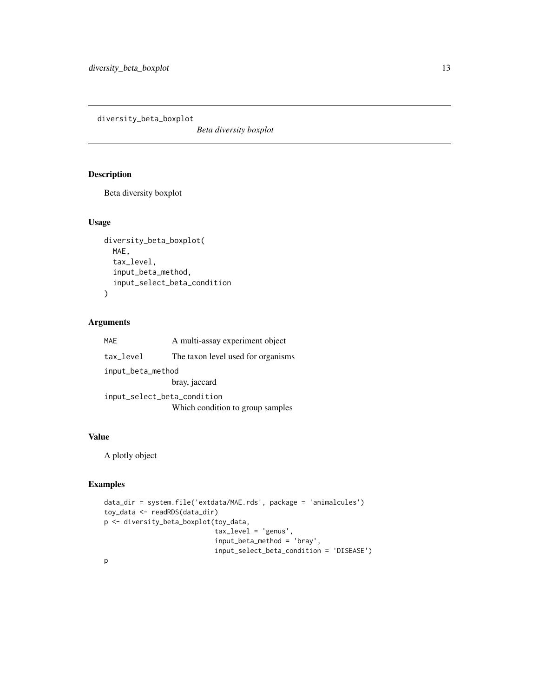<span id="page-12-0"></span>diversity\_beta\_boxplot

*Beta diversity boxplot*

#### Description

Beta diversity boxplot

#### Usage

```
diversity_beta_boxplot(
  MAE,
  tax_level,
  input_beta_method,
  input_select_beta_condition
\mathcal{L}
```
#### Arguments

| <b>MAE</b>                  | A multi-assay experiment object    |  |
|-----------------------------|------------------------------------|--|
| tax_level                   | The taxon level used for organisms |  |
| input_beta_method           |                                    |  |
|                             | bray, jaccard                      |  |
| input_select_beta_condition |                                    |  |
|                             | Which condition to group samples   |  |

#### Value

A plotly object

#### Examples

```
data_dir = system.file('extdata/MAE.rds', package = 'animalcules')
toy_data <- readRDS(data_dir)
p <- diversity_beta_boxplot(toy_data,
                            tax_level = 'genus',
                            input_beta_method = 'bray',
                            input_select_beta_condition = 'DISEASE')
```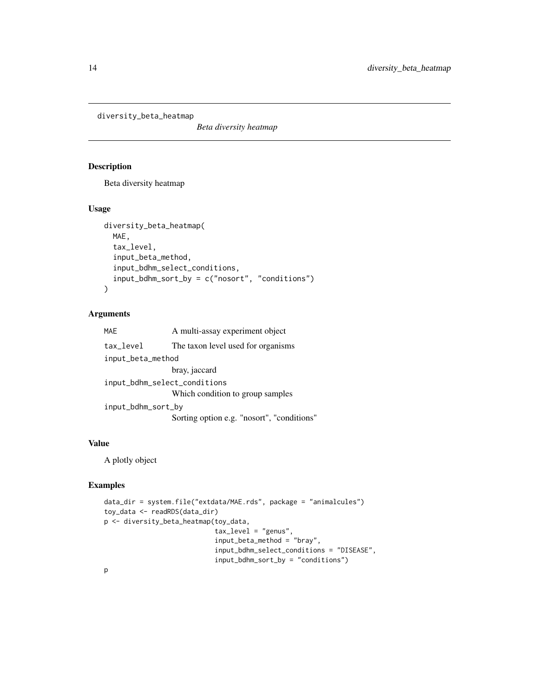<span id="page-13-0"></span>diversity\_beta\_heatmap

*Beta diversity heatmap*

#### Description

Beta diversity heatmap

#### Usage

```
diversity_beta_heatmap(
 MAE,
  tax_level,
  input_beta_method,
  input_bdhm_select_conditions,
  input_bdhm_sort_by = c("nosort", "conditions")
)
```
#### Arguments

| <b>MAE</b>                   | A multi-assay experiment object            |
|------------------------------|--------------------------------------------|
| tax_level                    | The taxon level used for organisms         |
| input_beta_method            |                                            |
|                              | bray, jaccard                              |
| input_bdhm_select_conditions |                                            |
|                              | Which condition to group samples           |
| input_bdhm_sort_by           |                                            |
|                              | Sorting option e.g. "nosort", "conditions" |
|                              |                                            |

#### Value

A plotly object

#### Examples

```
data_dir = system.file("extdata/MAE.rds", package = "animalcules")
toy_data <- readRDS(data_dir)
p <- diversity_beta_heatmap(toy_data,
                            tax_level = "genus",
                            input_beta_method = "bray",
                            input_bdhm_select_conditions = "DISEASE",
                            input_bdhm_sort_by = "conditions")
```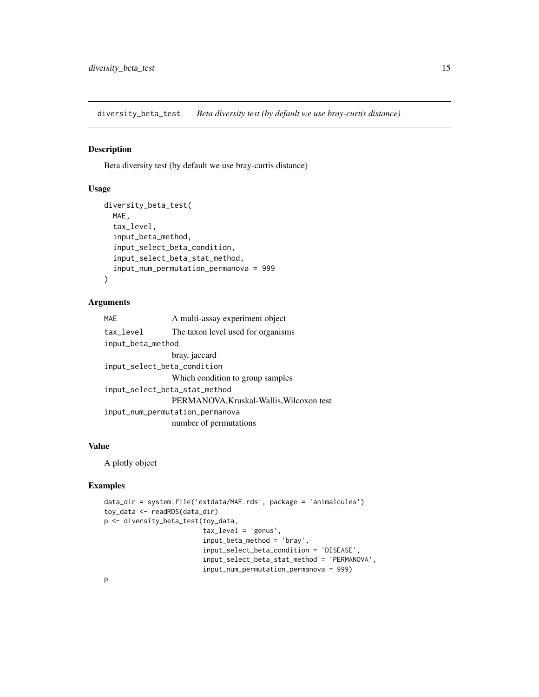<span id="page-14-0"></span>diversity\_beta\_test *Beta diversity test (by default we use bray-curtis distance)*

#### Description

Beta diversity test (by default we use bray-curtis distance)

#### Usage

```
diversity_beta_test(
 MAE,
  tax_level,
  input_beta_method,
  input_select_beta_condition,
  input_select_beta_stat_method,
  input_num_permutation_permanova = 999
)
```
#### Arguments

| <b>MAE</b>                    | A multi-assay experiment object          |  |
|-------------------------------|------------------------------------------|--|
| tax_level                     | The taxon level used for organisms       |  |
| input_beta_method             |                                          |  |
|                               | bray, jaccard                            |  |
| input_select_beta_condition   |                                          |  |
|                               | Which condition to group samples         |  |
| input_select_beta_stat_method |                                          |  |
|                               | PERMANOVA, Kruskal-Wallis, Wilcoxon test |  |
|                               | input_num_permutation_permanova          |  |
|                               | number of permutations                   |  |

#### Value

A plotly object

#### Examples

```
data_dir = system.file('extdata/MAE.rds', package = 'animalcules')
toy_data <- readRDS(data_dir)
p <- diversity_beta_test(toy_data,
                         tax_level = 'genus',
                         input_beta_method = 'bray',
                         input_select_beta_condition = 'DISEASE',
                         input_select_beta_stat_method = 'PERMANOVA',
                         input_num_permutation_permanova = 999)
```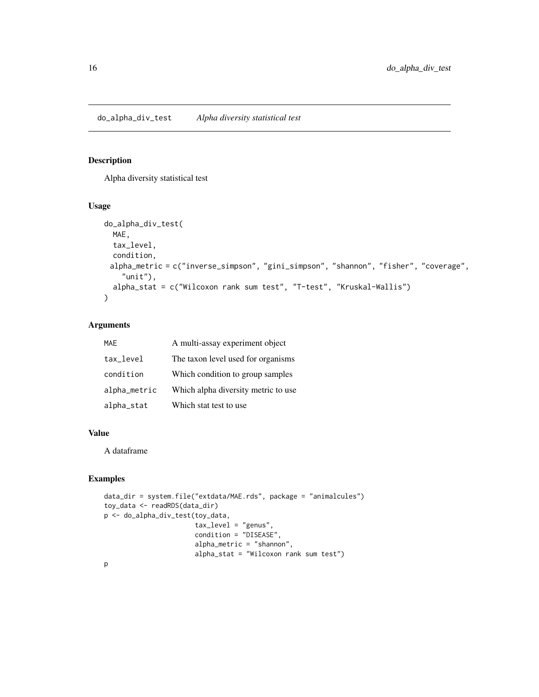#### <span id="page-15-0"></span>Description

Alpha diversity statistical test

#### Usage

```
do_alpha_div_test(
 MAE,
 tax_level,
  condition,
 alpha_metric = c("inverse_simpson", "gini_simpson", "shannon", "fisher", "coverage",
    "unit",
 alpha_stat = c("Wilcoxon rank sum test", "T-test", "Kruskal-Wallis")
\mathcal{L}
```
#### Arguments

| MAF          | A multi-assay experiment object      |
|--------------|--------------------------------------|
| tax_level    | The taxon level used for organisms   |
| condition    | Which condition to group samples     |
| alpha_metric | Which alpha diversity metric to use. |
| alpha_stat   | Which stat test to use               |

#### Value

A dataframe

#### Examples

```
data_dir = system.file("extdata/MAE.rds", package = "animalcules")
toy_data <- readRDS(data_dir)
p <- do_alpha_div_test(toy_data,
                       tax_level = "genus",
                       condition = "DISEASE",
                       alpha_metric = "shannon",
                       alpha_stat = "Wilcoxon rank sum test")
p
```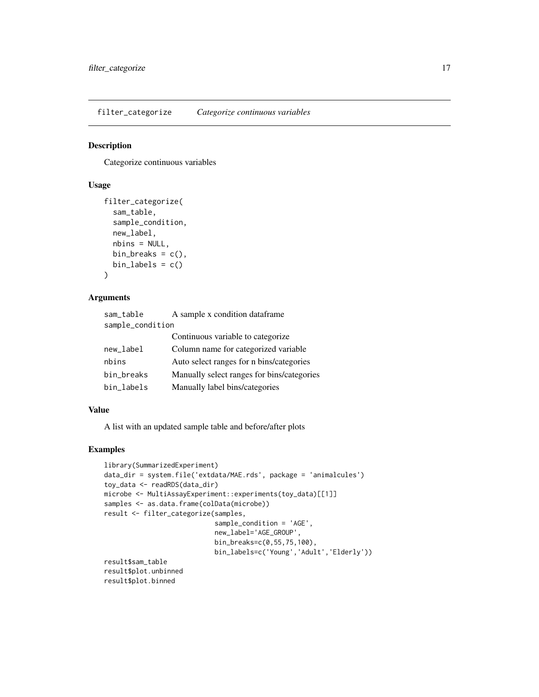<span id="page-16-0"></span>filter\_categorize *Categorize continuous variables*

#### Description

Categorize continuous variables

#### Usage

```
filter_categorize(
  sam_table,
  sample_condition,
  new_label,
  nbins = NULL,
 bin_breaks = c(),
  bin\_labels = c())
```
#### Arguments

| sam_table        | A sample x condition dataframe             |  |
|------------------|--------------------------------------------|--|
| sample_condition |                                            |  |
|                  | Continuous variable to categorize          |  |
| new_label        | Column name for categorized variable       |  |
| nbins            | Auto select ranges for n bins/categories   |  |
| bin_breaks       | Manually select ranges for bins/categories |  |
| bin_labels       | Manually label bins/categories             |  |

#### Value

A list with an updated sample table and before/after plots

#### Examples

```
library(SummarizedExperiment)
data_dir = system.file('extdata/MAE.rds', package = 'animalcules')
toy_data <- readRDS(data_dir)
microbe <- MultiAssayExperiment::experiments(toy_data)[[1]]
samples <- as.data.frame(colData(microbe))
result <- filter_categorize(samples,
                            sample_condition = 'AGE',
                            new_label='AGE_GROUP',
                            bin_breaks=c(0,55,75,100),
                            bin_labels=c('Young','Adult','Elderly'))
result$sam_table
result$plot.unbinned
result$plot.binned
```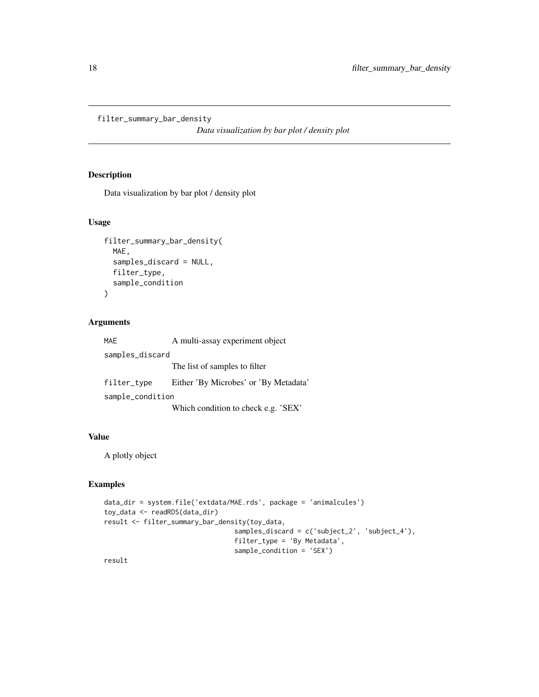```
filter_summary_bar_density
```
*Data visualization by bar plot / density plot*

#### Description

Data visualization by bar plot / density plot

#### Usage

```
filter_summary_bar_density(
 MAE,
  samples_discard = NULL,
 filter_type,
  sample_condition
)
```
#### Arguments

| <b>MAE</b>       | A multi-assay experiment object       |  |
|------------------|---------------------------------------|--|
| samples_discard  |                                       |  |
|                  | The list of samples to filter         |  |
| filter_type      | Either 'By Microbes' or 'By Metadata' |  |
| sample_condition |                                       |  |
|                  | Which condition to check e.g. 'SEX'   |  |

#### Value

A plotly object

#### Examples

```
data_dir = system.file('extdata/MAE.rds', package = 'animalcules')
toy_data <- readRDS(data_dir)
result <- filter_summary_bar_density(toy_data,
                                 samples_discard = c('subject_2', 'subject_4'),
                                 filter_type = 'By Metadata',
                                 sample_condition = 'SEX')
```
result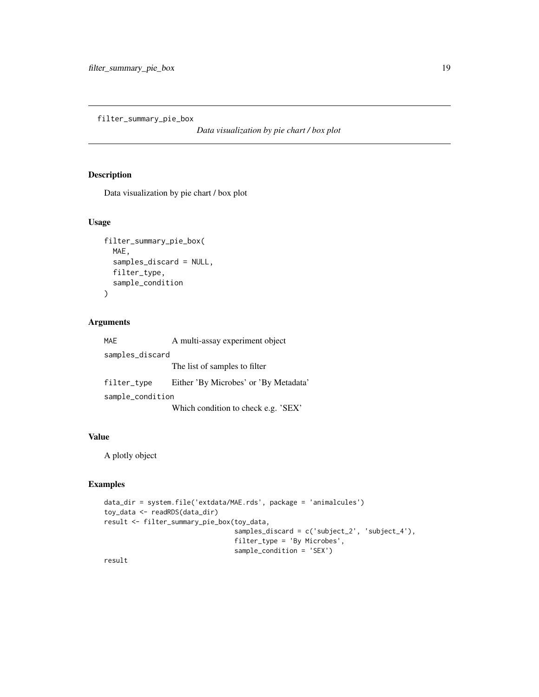<span id="page-18-0"></span>filter\_summary\_pie\_box

*Data visualization by pie chart / box plot*

#### Description

Data visualization by pie chart / box plot

#### Usage

```
filter_summary_pie_box(
 MAE,
  samples_discard = NULL,
 filter_type,
  sample_condition
)
```
#### Arguments

| <b>MAE</b>       | A multi-assay experiment object       |  |
|------------------|---------------------------------------|--|
| samples_discard  |                                       |  |
|                  | The list of samples to filter         |  |
| filter_type      | Either 'By Microbes' or 'By Metadata' |  |
| sample_condition |                                       |  |
|                  | Which condition to check e.g. 'SEX'   |  |

#### Value

A plotly object

#### Examples

```
data_dir = system.file('extdata/MAE.rds', package = 'animalcules')
toy_data <- readRDS(data_dir)
result <- filter_summary_pie_box(toy_data,
                                 samples_discard = c('subject_2', 'subject_4'),
                                 filter_type = 'By Microbes',
                                 sample_condition = 'SEX')
```
result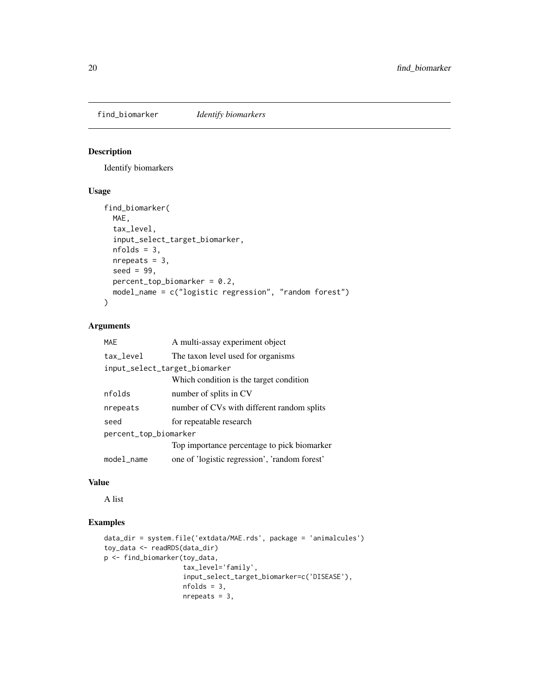<span id="page-19-0"></span>

#### Description

Identify biomarkers

#### Usage

```
find_biomarker(
  MAE,
  tax_level,
  input_select_target_biomarker,
  nfolds = 3,
 nrepeats = 3,
  seed = 99,
 percent_top_biomarker = 0.2,
 model_name = c("logistic regression", "random forest")
)
```
#### Arguments

| <b>MAF</b>            | A multi-assay experiment object               |  |
|-----------------------|-----------------------------------------------|--|
| tax_level             | The taxon level used for organisms            |  |
|                       | input_select_target_biomarker                 |  |
|                       | Which condition is the target condition       |  |
| nfolds                | number of splits in CV                        |  |
| nrepeats              | number of CVs with different random splits    |  |
| seed                  | for repeatable research                       |  |
| percent_top_biomarker |                                               |  |
|                       | Top importance percentage to pick biomarker   |  |
| model_name            | one of 'logistic regression', 'random forest' |  |

#### Value

A list

#### Examples

```
data_dir = system.file('extdata/MAE.rds', package = 'animalcules')
toy_data <- readRDS(data_dir)
p <- find_biomarker(toy_data,
                    tax_level='family',
                    input_select_target_biomarker=c('DISEASE'),
                    nfolds = 3,
                    nrepeats = 3,
```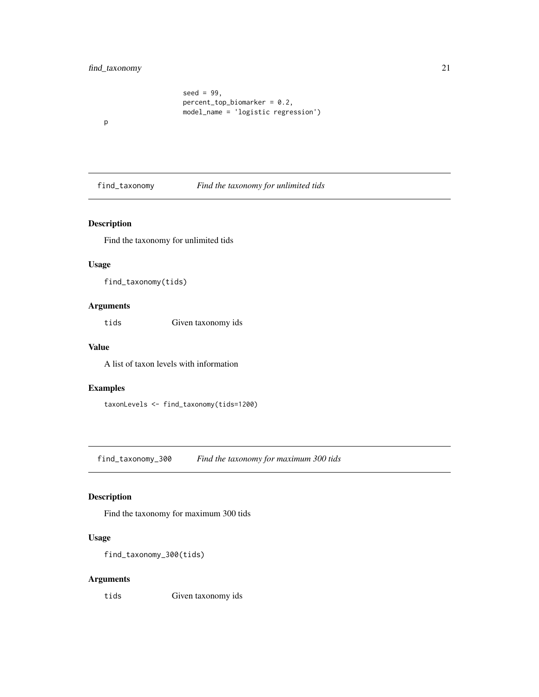#### <span id="page-20-0"></span>find\_taxonomy 21

```
seed = 99,
percent\_top\_biomarker = 0.2,
model_name = 'logistic regression')
```
p

find\_taxonomy *Find the taxonomy for unlimited tids*

#### Description

Find the taxonomy for unlimited tids

#### Usage

find\_taxonomy(tids)

#### Arguments

tids Given taxonomy ids

#### Value

A list of taxon levels with information

#### Examples

taxonLevels <- find\_taxonomy(tids=1200)

find\_taxonomy\_300 *Find the taxonomy for maximum 300 tids*

#### Description

Find the taxonomy for maximum 300 tids

#### Usage

```
find_taxonomy_300(tids)
```
#### Arguments

tids Given taxonomy ids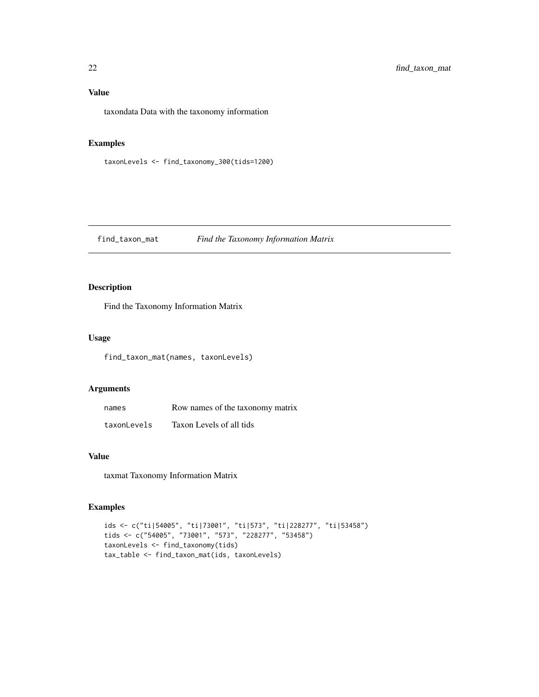#### <span id="page-21-0"></span>Value

taxondata Data with the taxonomy information

#### Examples

taxonLevels <- find\_taxonomy\_300(tids=1200)

find\_taxon\_mat *Find the Taxonomy Information Matrix*

#### Description

Find the Taxonomy Information Matrix

#### Usage

find\_taxon\_mat(names, taxonLevels)

#### Arguments

| names       | Row names of the taxonomy matrix |
|-------------|----------------------------------|
| taxonLevels | Taxon Levels of all tids         |

#### Value

taxmat Taxonomy Information Matrix

#### Examples

```
ids <- c("ti|54005", "ti|73001", "ti|573", "ti|228277", "ti|53458")
tids <- c("54005", "73001", "573", "228277", "53458")
taxonLevels <- find_taxonomy(tids)
tax_table <- find_taxon_mat(ids, taxonLevels)
```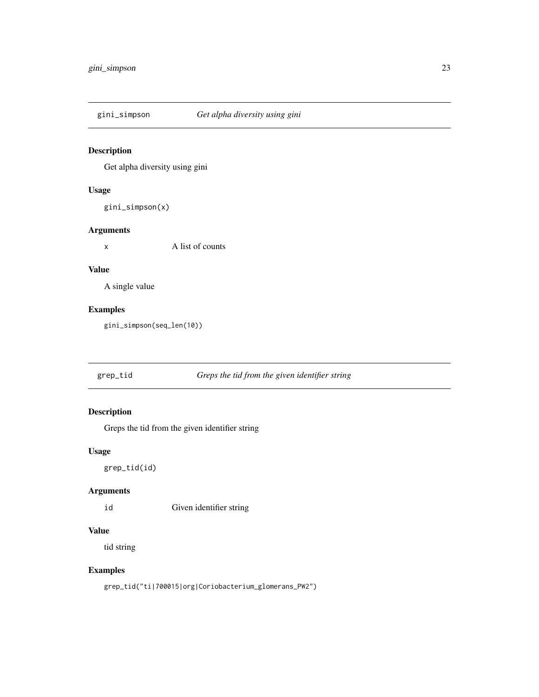<span id="page-22-0"></span>

#### Description

Get alpha diversity using gini

#### Usage

gini\_simpson(x)

#### Arguments

x A list of counts

#### Value

A single value

#### Examples

gini\_simpson(seq\_len(10))

grep\_tid *Greps the tid from the given identifier string*

### Description

Greps the tid from the given identifier string

#### Usage

grep\_tid(id)

#### Arguments

id Given identifier string

#### Value

tid string

#### Examples

grep\_tid("ti|700015|org|Coriobacterium\_glomerans\_PW2")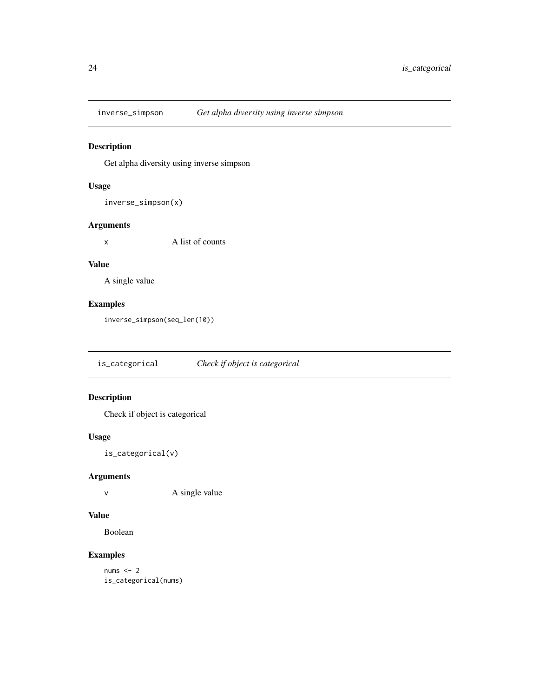<span id="page-23-0"></span>

#### Description

Get alpha diversity using inverse simpson

#### Usage

inverse\_simpson(x)

#### Arguments

x A list of counts

#### Value

A single value

#### Examples

inverse\_simpson(seq\_len(10))

is\_categorical *Check if object is categorical*

#### Description

Check if object is categorical

#### Usage

is\_categorical(v)

#### Arguments

v A single value

#### Value

Boolean

#### Examples

nums  $<-2$ is\_categorical(nums)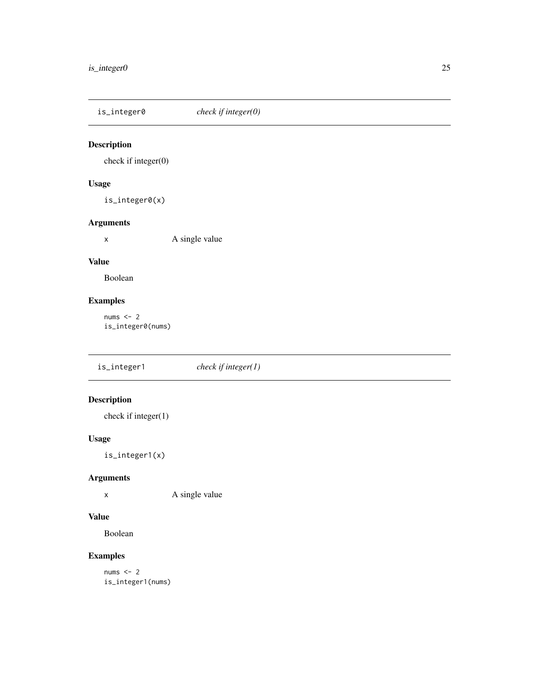<span id="page-24-0"></span>is\_integer0 *check if integer(0)*

#### Description

check if integer(0)

#### Usage

is\_integer0(x)

#### Arguments

x A single value

#### Value

Boolean

#### Examples

nums  $<-2$ is\_integer0(nums)

is\_integer1 *check if integer(1)*

### Description

check if integer(1)

#### Usage

is\_integer1(x)

#### Arguments

x A single value

### Value

Boolean

#### Examples

nums  $<-2$ is\_integer1(nums)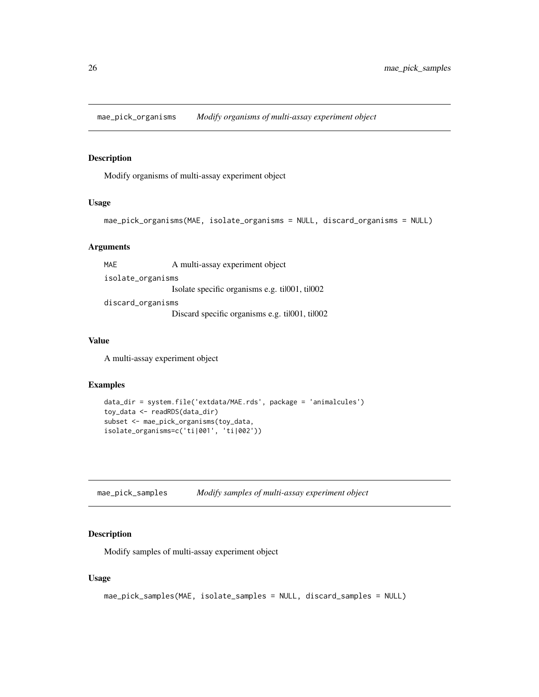<span id="page-25-0"></span>mae\_pick\_organisms *Modify organisms of multi-assay experiment object*

#### Description

Modify organisms of multi-assay experiment object

#### Usage

```
mae_pick_organisms(MAE, isolate_organisms = NULL, discard_organisms = NULL)
```
#### Arguments

MAE A multi-assay experiment object isolate\_organisms Isolate specific organisms e.g. ti|001, ti|002 discard\_organisms Discard specific organisms e.g. til001, til002

#### Value

A multi-assay experiment object

#### Examples

```
data_dir = system.file('extdata/MAE.rds', package = 'animalcules')
toy_data <- readRDS(data_dir)
subset <- mae_pick_organisms(toy_data,
isolate_organisms=c('ti|001', 'ti|002'))
```
mae\_pick\_samples *Modify samples of multi-assay experiment object*

#### Description

Modify samples of multi-assay experiment object

#### Usage

```
mae_pick_samples(MAE, isolate_samples = NULL, discard_samples = NULL)
```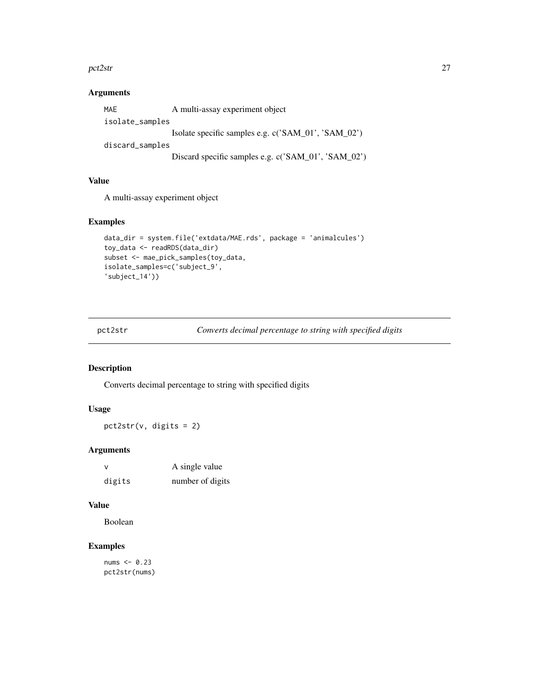#### <span id="page-26-0"></span>pct2str 27

#### Arguments

| MAE             | A multi-assay experiment object                     |  |
|-----------------|-----------------------------------------------------|--|
| isolate_samples |                                                     |  |
|                 | Isolate specific samples e.g. c('SAM_01', 'SAM_02') |  |
| discard_samples |                                                     |  |
|                 | Discard specific samples e.g. c('SAM_01', 'SAM_02') |  |

#### Value

A multi-assay experiment object

#### Examples

```
data_dir = system.file('extdata/MAE.rds', package = 'animalcules')
toy_data <- readRDS(data_dir)
subset <- mae_pick_samples(toy_data,
isolate_samples=c('subject_9',
'subject_14'))
```
pct2str *Converts decimal percentage to string with specified digits*

#### Description

Converts decimal percentage to string with specified digits

#### Usage

pct2str(v, digits = 2)

#### Arguments

| v      | A single value   |
|--------|------------------|
| digits | number of digits |

#### Value

Boolean

#### Examples

nums <- 0.23 pct2str(nums)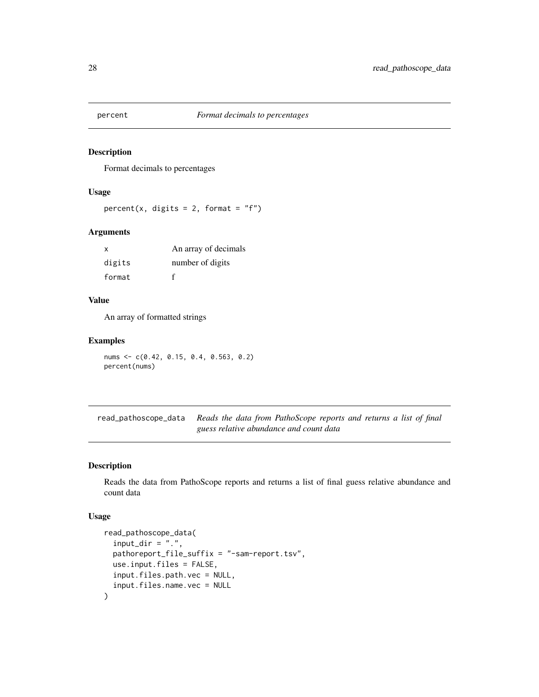<span id="page-27-0"></span>

#### Description

Format decimals to percentages

#### Usage

percent(x, digits = 2, format =  $"f"$ )

#### Arguments

| X      | An array of decimals |
|--------|----------------------|
| digits | number of digits     |
| format |                      |

#### Value

An array of formatted strings

#### Examples

nums <- c(0.42, 0.15, 0.4, 0.563, 0.2) percent(nums)

read\_pathoscope\_data *Reads the data from PathoScope reports and returns a list of final guess relative abundance and count data*

#### Description

Reads the data from PathoScope reports and returns a list of final guess relative abundance and count data

#### Usage

```
read_pathoscope_data(
  input\_dir = "."pathoreport_file_suffix = "-sam-report.tsv",
 use.input.files = FALSE,
  input.files.path.vec = NULL,
  input.files.name.vec = NULL
\mathcal{E}
```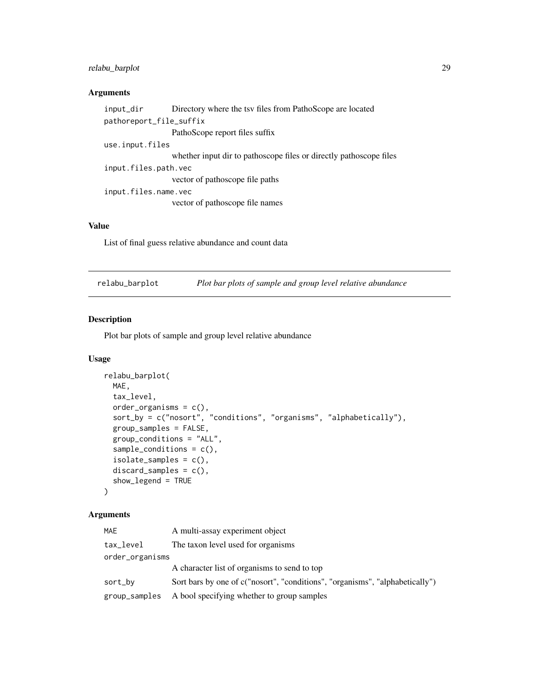#### <span id="page-28-0"></span>relabu\_barplot 29

#### Arguments

| input_dir               | Directory where the tsy files from PathoScope are located          |  |  |
|-------------------------|--------------------------------------------------------------------|--|--|
| pathoreport_file_suffix |                                                                    |  |  |
|                         | PathoScope report files suffix                                     |  |  |
| use.input.files         |                                                                    |  |  |
|                         | whether input dir to pathoscope files or directly pathoscope files |  |  |
| input.files.path.vec    |                                                                    |  |  |
|                         | vector of pathoscope file paths                                    |  |  |
| input.files.name.vec    |                                                                    |  |  |
|                         | vector of pathoscope file names                                    |  |  |
|                         |                                                                    |  |  |

#### Value

List of final guess relative abundance and count data

| relabu_barplot | Plot bar plots of sample and group level relative abundance |  |
|----------------|-------------------------------------------------------------|--|
|                |                                                             |  |

#### Description

Plot bar plots of sample and group level relative abundance

#### Usage

```
relabu_barplot(
 MAE,
 tax_level,
 order_organisms = c(),
 sort_by = c("nosort", "conditions", "organisms", "alphabetically"),
 group_samples = FALSE,
 group_conditions = "ALL",
 sample_conditions = c(),
 isolate_samples = c(),
 discard_samples = c(),
 show_legend = TRUE
)
```
#### Arguments

| <b>MAE</b>      | A multi-assay experiment object                                              |  |
|-----------------|------------------------------------------------------------------------------|--|
| tax_level       | The taxon level used for organisms                                           |  |
| order_organisms |                                                                              |  |
|                 | A character list of organisms to send to top                                 |  |
| sort_by         | Sort bars by one of c("nosort", "conditions", "organisms", "alphabetically") |  |
| group_samples   | A bool specifying whether to group samples                                   |  |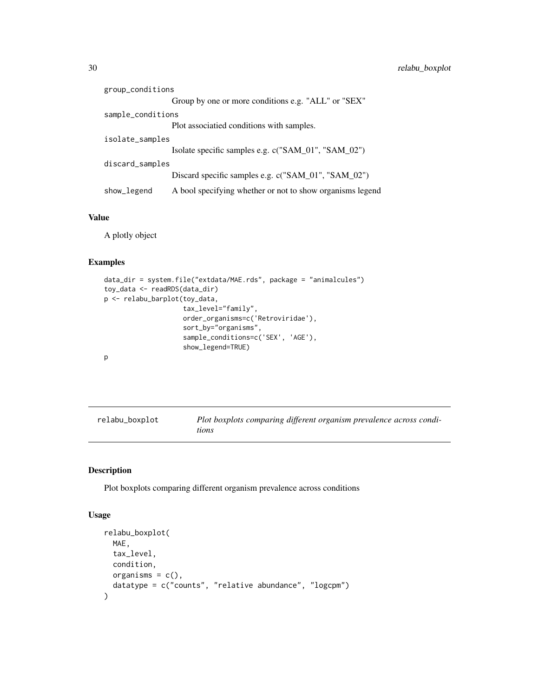<span id="page-29-0"></span>

| group_conditions                                                         |                                                     |
|--------------------------------------------------------------------------|-----------------------------------------------------|
|                                                                          | Group by one or more conditions e.g. "ALL" or "SEX" |
| sample_conditions                                                        |                                                     |
|                                                                          | Plot associatied conditions with samples.           |
| isolate_samples                                                          |                                                     |
|                                                                          | Isolate specific samples e.g. c("SAM_01", "SAM_02") |
| discard_samples                                                          |                                                     |
|                                                                          | Discard specific samples e.g. c("SAM_01", "SAM_02") |
| A bool specifying whether or not to show organisms legend<br>show_legend |                                                     |

#### Value

A plotly object

#### Examples

```
data_dir = system.file("extdata/MAE.rds", package = "animalcules")
toy_data <- readRDS(data_dir)
p <- relabu_barplot(toy_data,
                    tax_level="family",
                    order_organisms=c('Retroviridae'),
                    sort_by="organisms",
                    sample_conditions=c('SEX', 'AGE'),
                    show_legend=TRUE)
p
```

| relabu_boxplot | Plot boxplots comparing different organism prevalence across condi- |
|----------------|---------------------------------------------------------------------|
|                | tions                                                               |

#### Description

Plot boxplots comparing different organism prevalence across conditions

#### Usage

```
relabu_boxplot(
 MAE,
 tax_level,
 condition,
 organisms = c(),
  datatype = c("counts", "relative abundance", "logcpm")
\mathcal{L}
```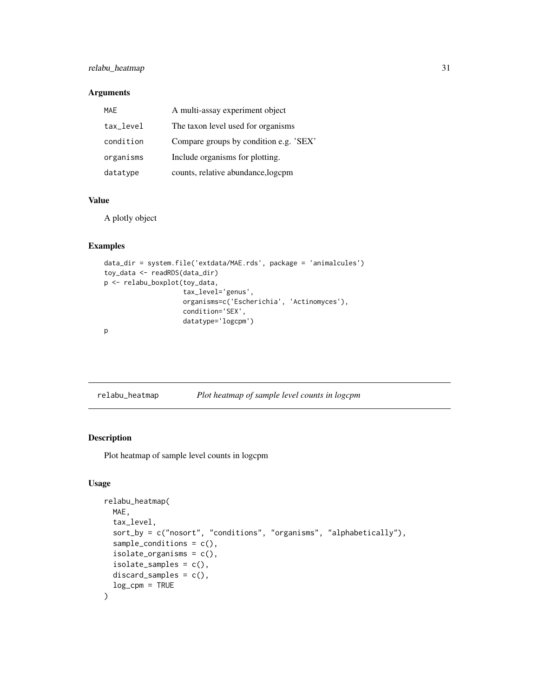#### <span id="page-30-0"></span>relabu\_heatmap 31

#### Arguments

| <b>MAE</b> | A multi-assay experiment object        |
|------------|----------------------------------------|
| tax_level  | The taxon level used for organisms     |
| condition  | Compare groups by condition e.g. 'SEX' |
| organisms  | Include organisms for plotting.        |
| datatype   | counts, relative abundance, logcpm     |

#### Value

A plotly object

#### Examples

```
data_dir = system.file('extdata/MAE.rds', package = 'animalcules')
toy_data <- readRDS(data_dir)
p <- relabu_boxplot(toy_data,
                    tax_level='genus',
                    organisms=c('Escherichia', 'Actinomyces'),
                    condition='SEX',
                    datatype='logcpm')
p
```

|  | relabu_heatmap |  |
|--|----------------|--|
|  |                |  |

relabu\_heatmap *Plot heatmap of sample level counts in logcpm*

#### Description

Plot heatmap of sample level counts in logcpm

#### Usage

```
relabu_heatmap(
 MAE,
  tax_level,
  sort_by = c("nosort", "conditions", "organisms", "alphabetically"),
  sample_conditions = c(),
  isolate_organisms = c(),
  isolate\_samples = c(),
 discard_samples = c(),
  log_ccpm = TRUE
\mathcal{E}
```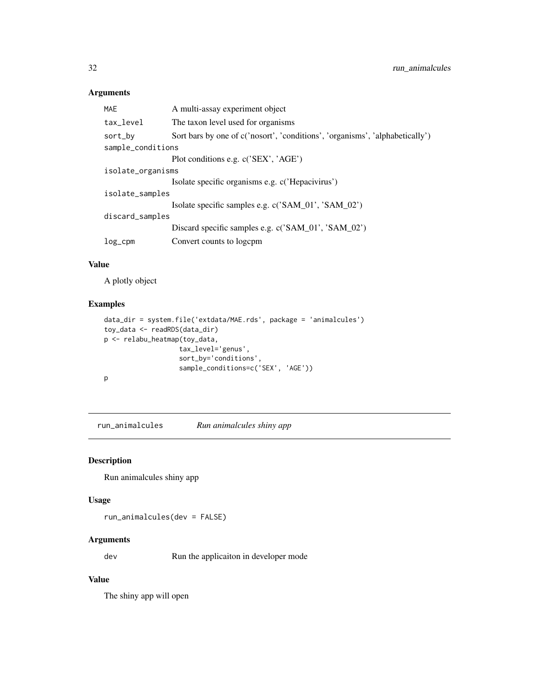#### <span id="page-31-0"></span>Arguments

| <b>MAE</b>        | A multi-assay experiment object                                              |  |  |
|-------------------|------------------------------------------------------------------------------|--|--|
| tax_level         | The taxon level used for organisms                                           |  |  |
| sort_by           | Sort bars by one of c('nosort', 'conditions', 'organisms', 'alphabetically') |  |  |
| sample_conditions |                                                                              |  |  |
|                   | Plot conditions e.g. c('SEX', 'AGE')                                         |  |  |
| isolate_organisms |                                                                              |  |  |
|                   | Isolate specific organisms e.g. c('Hepacivirus')                             |  |  |
| isolate_samples   |                                                                              |  |  |
|                   | Isolate specific samples e.g. c('SAM_01', 'SAM_02')                          |  |  |
| discard_samples   |                                                                              |  |  |
|                   | Discard specific samples e.g. c('SAM_01', 'SAM_02')                          |  |  |
| $log_{c}$ cpm     | Convert counts to logcpm                                                     |  |  |
|                   |                                                                              |  |  |

#### Value

A plotly object

#### Examples

```
data_dir = system.file('extdata/MAE.rds', package = 'animalcules')
toy_data <- readRDS(data_dir)
p <- relabu_heatmap(toy_data,
                   tax_level='genus',
                   sort_by='conditions',
                   sample_conditions=c('SEX', 'AGE'))
p
```
run\_animalcules *Run animalcules shiny app*

#### Description

Run animalcules shiny app

#### Usage

```
run_animalcules(dev = FALSE)
```
#### Arguments

dev Run the applicaiton in developer mode

#### Value

The shiny app will open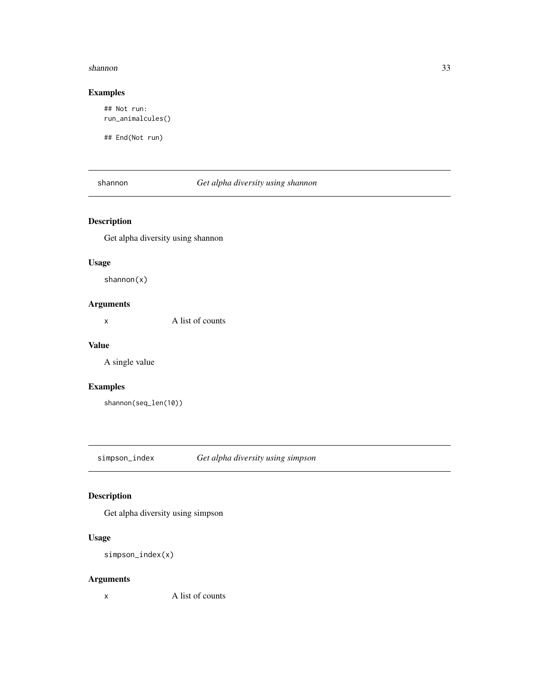#### <span id="page-32-0"></span>shannon 33

#### Examples

## Not run: run\_animalcules()

## End(Not run)

#### shannon *Get alpha diversity using shannon*

#### Description

Get alpha diversity using shannon

#### Usage

shannon(x)

#### Arguments

x A list of counts

#### Value

A single value

#### Examples

shannon(seq\_len(10))

simpson\_index *Get alpha diversity using simpson*

#### Description

Get alpha diversity using simpson

#### Usage

```
simpson_index(x)
```
#### Arguments

x A list of counts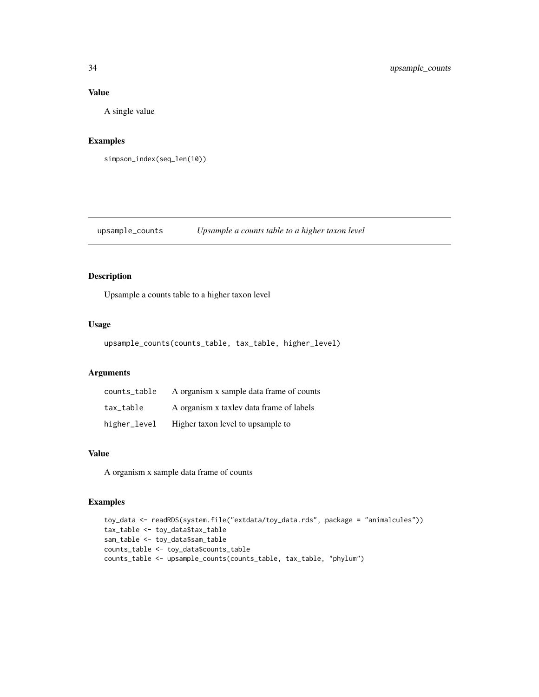#### Value

A single value

#### Examples

```
simpson_index(seq_len(10))
```
#### upsample\_counts *Upsample a counts table to a higher taxon level*

#### Description

Upsample a counts table to a higher taxon level

#### Usage

```
upsample_counts(counts_table, tax_table, higher_level)
```
#### Arguments

| counts table | A organism x sample data frame of counts |
|--------------|------------------------------------------|
| tax table    | A organism x taxlev data frame of labels |
| higher_level | Higher taxon level to upsample to        |

#### Value

A organism x sample data frame of counts

#### Examples

```
toy_data <- readRDS(system.file("extdata/toy_data.rds", package = "animalcules"))
tax_table <- toy_data$tax_table
sam_table <- toy_data$sam_table
counts_table <- toy_data$counts_table
counts_table <- upsample_counts(counts_table, tax_table, "phylum")
```
<span id="page-33-0"></span>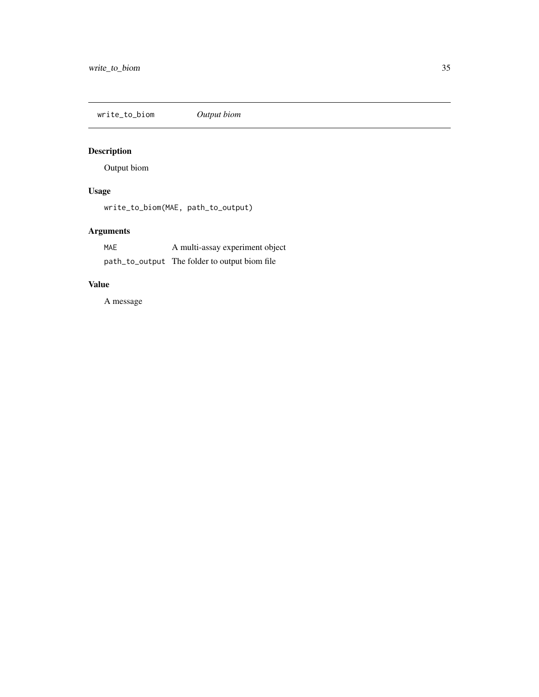<span id="page-34-0"></span>write\_to\_biom *Output biom*

# Description

Output biom

## Usage

write\_to\_biom(MAE, path\_to\_output)

## Arguments

| <b>MAE</b> | A multi-assay experiment object               |
|------------|-----------------------------------------------|
|            | path_to_output The folder to output biom file |

#### Value

A message